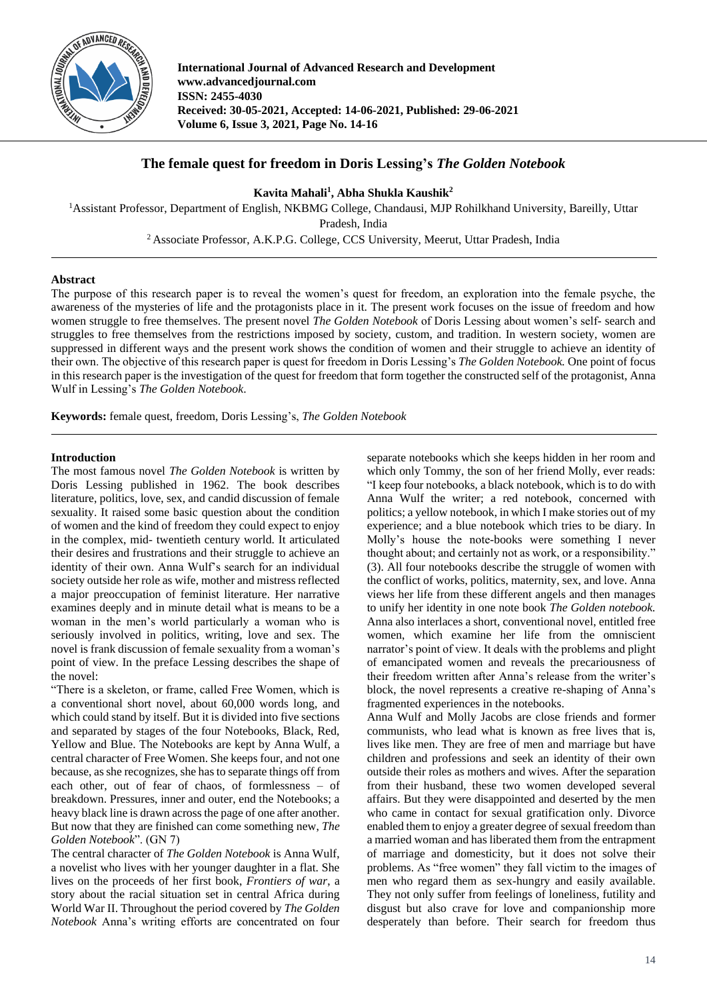

**International Journal of Advanced Research and Development www.advancedjournal.com ISSN: 2455-4030 Received: 30-05-2021, Accepted: 14-06-2021, Published: 29-06-2021 Volume 6, Issue 3, 2021, Page No. 14-16**

## **The female quest for freedom in Doris Lessing's** *The Golden Notebook*

**Kavita Mahali<sup>1</sup> , Abha Shukla Kaushik<sup>2</sup>**

<sup>1</sup>Assistant Professor, Department of English, NKBMG College, Chandausi, MJP Rohilkhand University, Bareilly, Uttar Pradesh, India <sup>2</sup>Associate Professor, A.K.P.G. College, CCS University, Meerut, Uttar Pradesh, India

## **Abstract**

The purpose of this research paper is to reveal the women's quest for freedom, an exploration into the female psyche, the awareness of the mysteries of life and the protagonists place in it. The present work focuses on the issue of freedom and how women struggle to free themselves. The present novel *The Golden Notebook* of Doris Lessing about women's self- search and struggles to free themselves from the restrictions imposed by society, custom, and tradition. In western society, women are suppressed in different ways and the present work shows the condition of women and their struggle to achieve an identity of their own. The objective of this research paper is quest for freedom in Doris Lessing's *The Golden Notebook.* One point of focus in this research paper is the investigation of the quest for freedom that form together the constructed self of the protagonist, Anna Wulf in Lessing's *The Golden Notebook*.

**Keywords:** female quest, freedom, Doris Lessing's, *The Golden Notebook*

## **Introduction**

The most famous novel *The Golden Notebook* is written by Doris Lessing published in 1962. The book describes literature, politics, love, sex, and candid discussion of female sexuality. It raised some basic question about the condition of women and the kind of freedom they could expect to enjoy in the complex, mid- twentieth century world. It articulated their desires and frustrations and their struggle to achieve an identity of their own. Anna Wulf's search for an individual society outside her role as wife, mother and mistress reflected a major preoccupation of feminist literature. Her narrative examines deeply and in minute detail what is means to be a woman in the men's world particularly a woman who is seriously involved in politics, writing, love and sex. The novel is frank discussion of female sexuality from a woman's point of view. In the preface Lessing describes the shape of the novel:

"There is a skeleton, or frame, called Free Women, which is a conventional short novel, about 60,000 words long, and which could stand by itself. But it is divided into five sections and separated by stages of the four Notebooks, Black, Red, Yellow and Blue. The Notebooks are kept by Anna Wulf, a central character of Free Women. She keeps four, and not one because, as she recognizes, she has to separate things off from each other, out of fear of chaos, of formlessness – of breakdown. Pressures, inner and outer, end the Notebooks; a heavy black line is drawn across the page of one after another. But now that they are finished can come something new, *The Golden Notebook*". (GN 7)

The central character of *The Golden Notebook* is Anna Wulf, a novelist who lives with her younger daughter in a flat. She lives on the proceeds of her first book, *Frontiers of war*, a story about the racial situation set in central Africa during World War II. Throughout the period covered by *The Golden Notebook* Anna's writing efforts are concentrated on four

separate notebooks which she keeps hidden in her room and which only Tommy, the son of her friend Molly, ever reads: "I keep four notebooks, a black notebook, which is to do with Anna Wulf the writer; a red notebook, concerned with politics; a yellow notebook, in which I make stories out of my experience; and a blue notebook which tries to be diary. In Molly's house the note-books were something I never thought about; and certainly not as work, or a responsibility." (3). All four notebooks describe the struggle of women with the conflict of works, politics, maternity, sex, and love. Anna views her life from these different angels and then manages to unify her identity in one note book *The Golden notebook.* Anna also interlaces a short, conventional novel, entitled free women, which examine her life from the omniscient narrator's point of view. It deals with the problems and plight of emancipated women and reveals the precariousness of their freedom written after Anna's release from the writer's block, the novel represents a creative re-shaping of Anna's fragmented experiences in the notebooks.

Anna Wulf and Molly Jacobs are close friends and former communists, who lead what is known as free lives that is, lives like men. They are free of men and marriage but have children and professions and seek an identity of their own outside their roles as mothers and wives. After the separation from their husband, these two women developed several affairs. But they were disappointed and deserted by the men who came in contact for sexual gratification only. Divorce enabled them to enjoy a greater degree of sexual freedom than a married woman and has liberated them from the entrapment of marriage and domesticity, but it does not solve their problems. As "free women" they fall victim to the images of men who regard them as sex-hungry and easily available. They not only suffer from feelings of loneliness, futility and disgust but also crave for love and companionship more desperately than before. Their search for freedom thus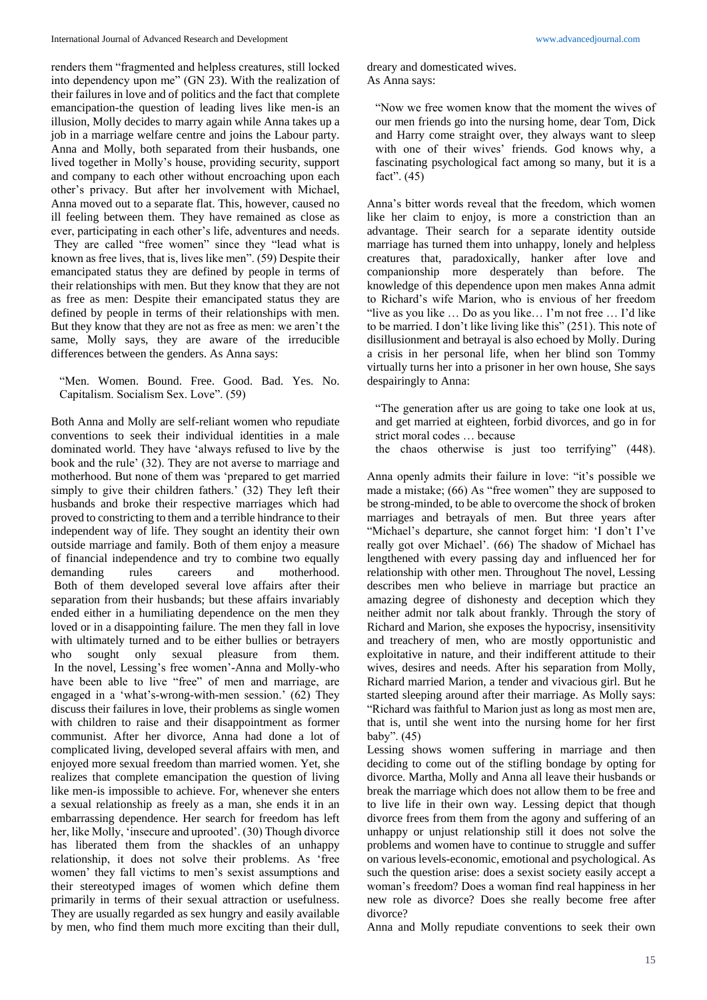renders them "fragmented and helpless creatures, still locked into dependency upon me" (GN 23). With the realization of their failures in love and of politics and the fact that complete emancipation-the question of leading lives like men-is an illusion, Molly decides to marry again while Anna takes up a job in a marriage welfare centre and joins the Labour party. Anna and Molly, both separated from their husbands, one lived together in Molly's house, providing security, support and company to each other without encroaching upon each other's privacy. But after her involvement with Michael, Anna moved out to a separate flat. This, however, caused no ill feeling between them. They have remained as close as ever, participating in each other's life, adventures and needs. They are called "free women" since they "lead what is known as free lives, that is, lives like men". (59) Despite their emancipated status they are defined by people in terms of their relationships with men. But they know that they are not as free as men: Despite their emancipated status they are defined by people in terms of their relationships with men. But they know that they are not as free as men: we aren't the same, Molly says, they are aware of the irreducible differences between the genders. As Anna says:

"Men. Women. Bound. Free. Good. Bad. Yes. No. Capitalism. Socialism Sex. Love". (59)

Both Anna and Molly are self-reliant women who repudiate conventions to seek their individual identities in a male dominated world. They have 'always refused to live by the book and the rule' (32). They are not averse to marriage and motherhood. But none of them was 'prepared to get married simply to give their children fathers.' (32) They left their husbands and broke their respective marriages which had proved to constricting to them and a terrible hindrance to their independent way of life. They sought an identity their own outside marriage and family. Both of them enjoy a measure of financial independence and try to combine two equally demanding rules careers and motherhood. Both of them developed several love affairs after their separation from their husbands; but these affairs invariably ended either in a humiliating dependence on the men they loved or in a disappointing failure. The men they fall in love with ultimately turned and to be either bullies or betrayers who sought only sexual pleasure from them. In the novel, Lessing's free women'-Anna and Molly-who have been able to live "free" of men and marriage, are engaged in a 'what's-wrong-with-men session.' (62) They discuss their failures in love, their problems as single women with children to raise and their disappointment as former communist. After her divorce, Anna had done a lot of complicated living, developed several affairs with men, and enjoyed more sexual freedom than married women. Yet, she realizes that complete emancipation the question of living like men-is impossible to achieve. For, whenever she enters a sexual relationship as freely as a man, she ends it in an embarrassing dependence. Her search for freedom has left her, like Molly, 'insecure and uprooted'. (30) Though divorce has liberated them from the shackles of an unhappy relationship, it does not solve their problems. As 'free women' they fall victims to men's sexist assumptions and their stereotyped images of women which define them primarily in terms of their sexual attraction or usefulness. They are usually regarded as sex hungry and easily available by men, who find them much more exciting than their dull,

dreary and domesticated wives. As Anna says:

"Now we free women know that the moment the wives of our men friends go into the nursing home, dear Tom, Dick and Harry come straight over, they always want to sleep with one of their wives' friends. God knows why, a fascinating psychological fact among so many, but it is a fact". (45)

Anna's bitter words reveal that the freedom, which women like her claim to enjoy, is more a constriction than an advantage. Their search for a separate identity outside marriage has turned them into unhappy, lonely and helpless creatures that, paradoxically, hanker after love and companionship more desperately than before. The knowledge of this dependence upon men makes Anna admit to Richard's wife Marion, who is envious of her freedom "live as you like … Do as you like… I'm not free … I'd like to be married. I don't like living like this" (251). This note of disillusionment and betrayal is also echoed by Molly. During a crisis in her personal life, when her blind son Tommy virtually turns her into a prisoner in her own house, She says despairingly to Anna:

"The generation after us are going to take one look at us, and get married at eighteen, forbid divorces, and go in for strict moral codes … because

the chaos otherwise is just too terrifying" (448).

Anna openly admits their failure in love: "it's possible we made a mistake; (66) As "free women" they are supposed to be strong-minded, to be able to overcome the shock of broken marriages and betrayals of men. But three years after "Michael's departure, she cannot forget him: 'I don't I've really got over Michael'. (66) The shadow of Michael has lengthened with every passing day and influenced her for relationship with other men. Throughout The novel, Lessing describes men who believe in marriage but practice an amazing degree of dishonesty and deception which they neither admit nor talk about frankly. Through the story of Richard and Marion, she exposes the hypocrisy, insensitivity and treachery of men, who are mostly opportunistic and exploitative in nature, and their indifferent attitude to their wives, desires and needs. After his separation from Molly, Richard married Marion, a tender and vivacious girl. But he started sleeping around after their marriage. As Molly says: "Richard was faithful to Marion just as long as most men are, that is, until she went into the nursing home for her first baby". (45)

Lessing shows women suffering in marriage and then deciding to come out of the stifling bondage by opting for divorce. Martha, Molly and Anna all leave their husbands or break the marriage which does not allow them to be free and to live life in their own way. Lessing depict that though divorce frees from them from the agony and suffering of an unhappy or unjust relationship still it does not solve the problems and women have to continue to struggle and suffer on various levels-economic, emotional and psychological. As such the question arise: does a sexist society easily accept a woman's freedom? Does a woman find real happiness in her new role as divorce? Does she really become free after divorce?

Anna and Molly repudiate conventions to seek their own